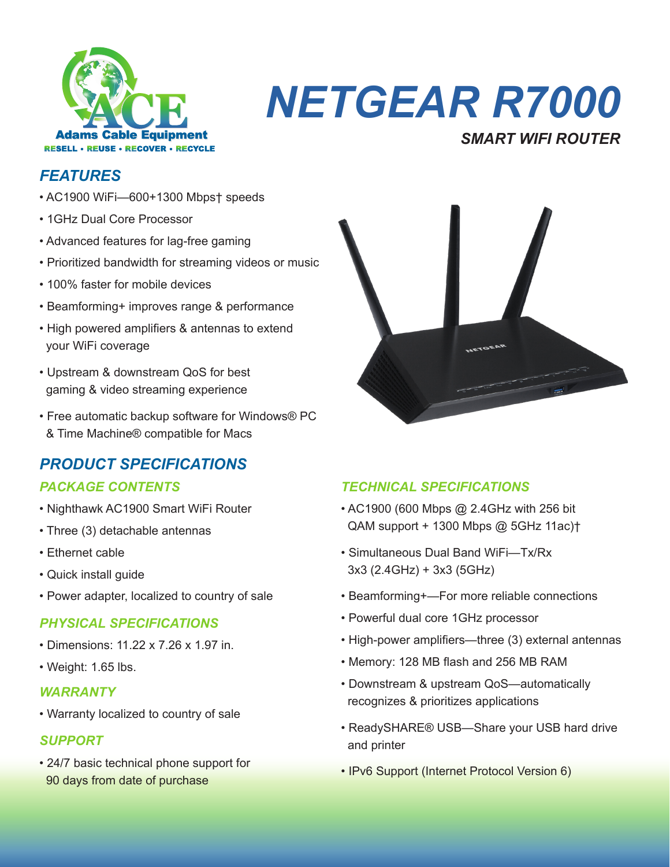

## *NETGEAR R7000 SMART WIFI ROUTER*

### *FEATURES*

- AC1900 WiFi—600+1300 Mbps† speeds
- 1GHz Dual Core Processor
- Advanced features for lag-free gaming
- Prioritized bandwidth for streaming videos or music
- 100% faster for mobile devices
- Beamforming+ improves range & performance
- High powered amplifiers & antennas to extend your WiFi coverage
- Upstream & downstream QoS for best gaming & video streaming experience
- Free automatic backup software for Windows® PC & Time Machine® compatible for Macs

## *PRODUCT SPECIFICATIONS*

- Nighthawk AC1900 Smart WiFi Router
- Three (3) detachable antennas
- Ethernet cable
- Quick install guide
- Power adapter, localized to country of sale

#### *PHYSICAL SPECIFICATIONS*

- Dimensions: 11.22 x 7.26 x 1.97 in.
- Weight: 1.65 lbs.

#### *WARRANTY*

• Warranty localized to country of sale

#### *SUPPORT*

• 24/7 basic technical phone support for 90 days from date of purchase



#### *PACKAGE CONTENTS TECHNICAL SPECIFICATIONS*

- AC1900 (600 Mbps @ 2.4GHz with 256 bit QAM support + 1300 Mbps @ 5GHz 11ac)†
- Simultaneous Dual Band WiFi—Tx/Rx 3x3 (2.4GHz) + 3x3 (5GHz)
- Beamforming+—For more reliable connections
- Powerful dual core 1GHz processor
- High-power amplifiers—three (3) external antennas
- Memory: 128 MB flash and 256 MB RAM
- Downstream & upstream QoS—automatically recognizes & prioritizes applications
- ReadySHARE® USB—Share your USB hard drive and printer
- IPv6 Support (Internet Protocol Version 6)